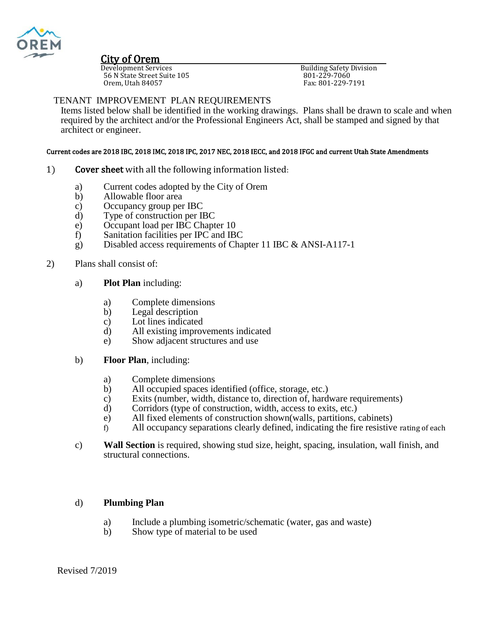

# **City of Orem**<br>Development Services

56 N State Street Suite 105<br>Orem, Utah 84057

**Building Safety Division** Panama Bancey<br>801-229-7060<br>Fax: 801-229-7191

### TENANT IMPROVEMENT PLAN REQUIREMENTS

Items listed below shall be identified in the working drawings. Plans shall be drawn to scale and when required by the architect and/or the Professional Engineers Act, shall be stamped and signed by that architect or engineer.

## Current codes are 2018 IBC, 2018 IMC, 2018 IPC, 2017 NEC, 2018 IECC, and 2018 IFGC and current Utah State Amendments

- 1) Cover sheet with all the following information listed:
	- a) Current codes adopted by the City of Orem<br>b) Allowable floor area
	- Allowable floor area
	- c) Occupancy group per IBC
	- d) Type of construction per IBC
	- e) Occupant load per IBC Chapter 10
	- f) Sanitation facilities per IPC and IBC
	- g) Disabled access requirements of Chapter 11 IBC & ANSI-A117-1

#### 2) Plans shall consist of:

- a) **Plot Plan** including:
	- a) Complete dimensions
	- b) Legal description
	- c) Lot lines indicated
	- d) All existing improvements indicated
	- e) Show adjacent structures and use
- b) **Floor Plan**, including:
	- a) Complete dimensions
	- b) All occupied spaces identified (office, storage, etc.)
	- c) Exits (number, width, distance to, direction of, hardware requirements)
	- d) Corridors (type of construction, width, access to exits, etc.)
	- e) All fixed elements of construction shown(walls, partitions, cabinets)
	- f) All occupancy separations clearly defined, indicating the fire resistive rating of each
- c) **Wall Section** is required, showing stud size, height, spacing, insulation, wall finish, and structural connections.

#### d) **Plumbing Plan**

- a) Include a plumbing isometric/schematic (water, gas and waste)
- b) Show type of material to be used